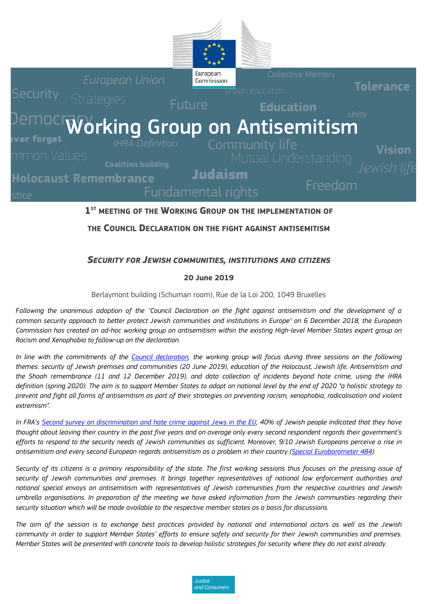

## $1<sup>ST</sup>$  MEETING OF THE WORKING GROUP ON THE IMPLEMENTATION OF

**THE COUNCIL DECLARATION ON THE FIGHT AGAINST ANTISEMITISM**

### *SECURITY FOR JEWISH COMMUNITIES, INSTITUTIONS AND CITIZENS*

#### **20 June 2019**

Berlaymont building (Schuman room), Rue de la Loi 200, 1049 Bruxelles

*Following the unanimous adoption of the "Council Declaration on the fight against antisemitism and the development of a common security approach to better protect Jewish communities and institutions in Europe" on 6 December 2018, the European Commission has created an ad-hoc working group on antisemitism within the existing High-level Member States expert group on Racism and Xenophobia to follow-up on the declaration.* 

*In line with the commitments of the [Council declaration,](http://data.consilium.europa.eu/doc/document/ST-15213-2018-INIT/en/pdf) the working group will focus during three sessions on the following themes: security of Jewish premises and communities (20 June 2019), education of the Holocaust, Jewish life, Antisemitism and the Shoah remembrance (11 and 12 December 2019), and data collection of incidents beyond hate crime, using the IHRA definition (spring 2020). The aim is to support Member States to adopt on national level by the end of 2020 "a holistic strategy to prevent and fight all forms of antisemitism as part of their strategies on preventing racism, xenophobia, radicalisation and violent extremism".* 

*In FRA'[s Second survey on discrimination and hate crime against Jews in the EU,](https://fra.europa.eu/en/publication/2018/2nd-survey-discrimination-hate-crime-against-jews) 40% of Jewish people indicated that they have thought about leaving their country in the past five years and on average only every second respondent regards their government's efforts to respond to the security needs of Jewish communities as sufficient. Moreover, 9/10 Jewish Europeans perceive a rise in*  antisemitism and every second European regards antisemitism as a problem in their country (Special Eurobarometer 484).

*Security of its citizens is a primary responsibility of the state. The first working sessions thus focuses on the pressing issue of security of Jewish communities and premises. It brings together representatives of national law enforcement authorities and national special envoys on antisemitism with representatives of Jewish communities from the respective countries and Jewish umbrella organisations. In preparation of the meeting we have asked information from the Jewish communities regarding their security situation which will be made available to the respective member states as a basis for discussions.* 

*The aim of the session is to exchange best practices provided by national and international actors as well as the Jewish community in order to support Member States' efforts to ensure safety and security for their Jewish communities and premises. Member States will be presented with concrete tools to develop holistic strategies for security where they do not exist already.* 

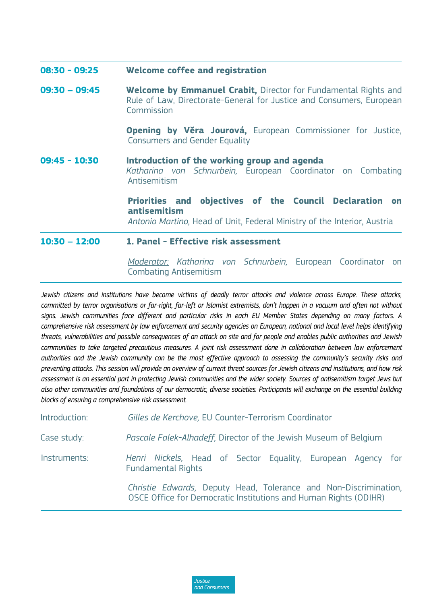| $08:30 - 09:25$ | Welcome coffee and registration                                                                                                                              |  |  |  |  |  |
|-----------------|--------------------------------------------------------------------------------------------------------------------------------------------------------------|--|--|--|--|--|
| $09:30 - 09:45$ | <b>Welcome by Emmanuel Crabit, Director for Fundamental Rights and</b><br>Rule of Law, Directorate-General for Justice and Consumers, European<br>Commission |  |  |  |  |  |
|                 | Opening by Věra Jourová, European Commissioner for Justice,<br><b>Consumers and Gender Equality</b>                                                          |  |  |  |  |  |
| $09:45 - 10:30$ | Introduction of the working group and agenda<br>Katharina von Schnurbein, European Coordinator on Combating<br>Antisemitism                                  |  |  |  |  |  |
|                 | Priorities and objectives of the Council Declaration on<br>antisemitism<br>Antonio Martino, Head of Unit, Federal Ministry of the Interior, Austria          |  |  |  |  |  |
| $10:30 - 12:00$ | 1. Panel - Effective risk assessment                                                                                                                         |  |  |  |  |  |
|                 | Moderator: Katharina von Schnurbein, European Coordinator on                                                                                                 |  |  |  |  |  |

Combating Antisemitism

*Jewish citizens and institutions have become victims of deadly terror attacks and violence across Europe. These attacks, committed by terror organisations or far-right, far-left or Islamist extremists, don't happen in a vacuum and often not without signs. Jewish communities face different and particular risks in each EU Member States depending on many factors. A comprehensive risk assessment by law enforcement and security agencies on European, national and local level helps identifying threats, vulnerabilities and possible consequences of an attack on site and for people and enables public authorities and Jewish communities to take targeted precautious measures. A joint risk assessment done in collaboration between law enforcement authorities and the Jewish community can be the most effective approach to assessing the community's security risks and preventing attacks. This session will provide an overview of current threat sources for Jewish citizens and institutions, and how risk assessment is an essential part in protecting Jewish communities and the wider society. Sources of antisemitism target Jews but also other communities and foundations of our democratic, diverse societies. Participants will exchange on the essential building blocks of ensuring a comprehensive risk assessment.* 

| Introduction: | Gilles de Kerchove, EU Counter-Terrorism Coordinator                                                                                 |  |  |  |  |  |
|---------------|--------------------------------------------------------------------------------------------------------------------------------------|--|--|--|--|--|
| Case study:   | Pascale Falek-Alhadeff, Director of the Jewish Museum of Belgium                                                                     |  |  |  |  |  |
| Instruments:  | Henri Nickels, Head of Sector Equality, European Agency for<br><b>Fundamental Rights</b>                                             |  |  |  |  |  |
|               | Christie Edwards, Deputy Head, Tolerance and Non-Discrimination,<br>OSCE Office for Democratic Institutions and Human Rights (ODIHR) |  |  |  |  |  |
|               |                                                                                                                                      |  |  |  |  |  |

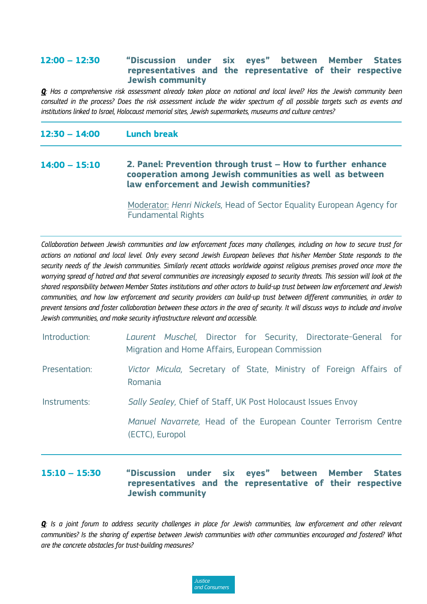### **12:00 – 12:30 "Discussion under six eyes" between Member States representatives and the representative of their respective Jewish community**

*Q: Has a comprehensive risk assessment already taken place on national and local level? Has the Jewish community been consulted in the process? Does the risk assessment include the wider spectrum of all possible targets such as events and institutions linked to Israel, Holocaust memorial sites, Jewish supermarkets, museums and culture centres?*

| $12:30 - 14:00$ | <b>Lunch break</b>                                                                                                                                                |
|-----------------|-------------------------------------------------------------------------------------------------------------------------------------------------------------------|
| $14:00 - 15:10$ | 2. Panel: Prevention through trust – How to further enhance<br>cooperation among Jewish communities as well as between<br>law enforcement and Jewish communities? |
|                 |                                                                                                                                                                   |

Moderator: *Henri Nickels,* Head of Sector Equality European Agency for Fundamental Rights

*Collaboration between Jewish communities and law enforcement faces many challenges, including on how to secure trust for actions on national and local level. Only every second Jewish European believes that his/her Member State responds to the security needs of the Jewish communities. Similarly recent attacks worldwide against religious premises proved once more the worrying spread of hatred and that several communities are increasingly exposed to security threats. This session will look at the shared responsibility between Member States institutions and other actors to build-up trust between law enforcement and Jewish communities, and how law enforcement and security providers can build-up trust between different communities, in order to prevent tensions and foster collaboration between these actors in the area of security. It will discuss ways to include and involve Jewish communities, and make security infrastructure relevant and accessible.* 

| Introduction: |  |  | Laurent Muschel, Director for Security, Directorate-General for           |  |  |
|---------------|--|--|---------------------------------------------------------------------------|--|--|
|               |  |  | Migration and Home Affairs, European Commission                           |  |  |
| Presentation: |  |  | <i>Victor Micula</i> , Secretary of State, Ministry of Foreign Affairs of |  |  |

Romania

Instruments: *Sally Sealey,* Chief of Staff, UK Post Holocaust Issues Envoy

*Manuel Navarrete,* Head of the European Counter Terrorism Centre (ECTC), Europol

# **15:10 – 15:30 "Discussion under six eyes" between Member States representatives and the representative of their respective Jewish community**

*Q: Is a joint forum to address security challenges in place for Jewish communities, law enforcement and other relevant communities? Is the sharing of expertise between Jewish communities with other communities encouraged and fostered? What are the concrete obstacles for trust-building measures?*